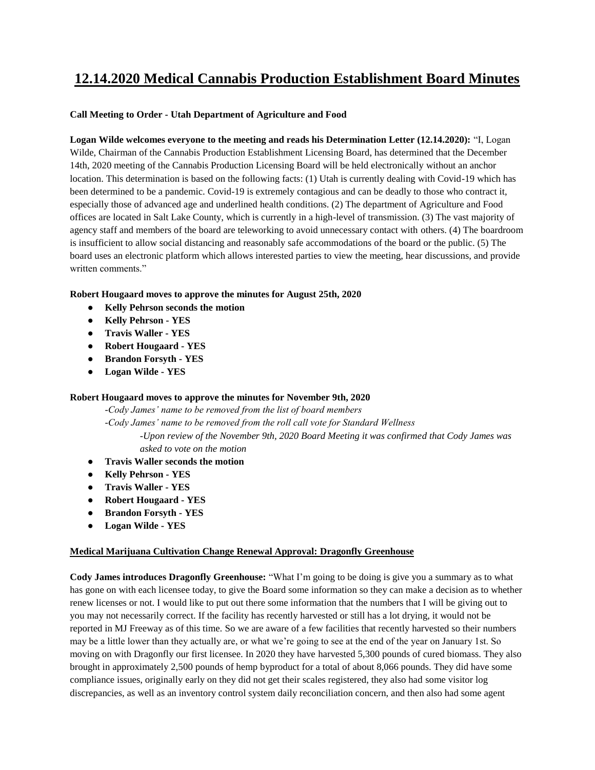# **12.14.2020 Medical Cannabis Production Establishment Board Minutes**

### **Call Meeting to Order - Utah Department of Agriculture and Food**

**Logan Wilde welcomes everyone to the meeting and reads his Determination Letter (12.14.2020):** "I, Logan Wilde, Chairman of the Cannabis Production Establishment Licensing Board, has determined that the December 14th, 2020 meeting of the Cannabis Production Licensing Board will be held electronically without an anchor location. This determination is based on the following facts: (1) Utah is currently dealing with Covid-19 which has been determined to be a pandemic. Covid-19 is extremely contagious and can be deadly to those who contract it, especially those of advanced age and underlined health conditions. (2) The department of Agriculture and Food offices are located in Salt Lake County, which is currently in a high-level of transmission. (3) The vast majority of agency staff and members of the board are teleworking to avoid unnecessary contact with others. (4) The boardroom is insufficient to allow social distancing and reasonably safe accommodations of the board or the public. (5) The board uses an electronic platform which allows interested parties to view the meeting, hear discussions, and provide written comments."

### **Robert Hougaard moves to approve the minutes for August 25th, 2020**

- **Kelly Pehrson seconds the motion**
- **Kelly Pehrson - YES**
- **Travis Waller - YES**
- **Robert Hougaard - YES**
- **Brandon Forsyth - YES**
- **Logan Wilde - YES**

#### **Robert Hougaard moves to approve the minutes for November 9th, 2020**

*-Cody James' name to be removed from the list of board members -Cody James' name to be removed from the roll call vote for Standard Wellness -Upon review of the November 9th, 2020 Board Meeting it was confirmed that Cody James was asked to vote on the motion* 

- **Travis Waller seconds the motion**
- **Kelly Pehrson - YES**
- **Travis Waller - YES**
- **Robert Hougaard - YES**
- **Brandon Forsyth - YES**
- **Logan Wilde - YES**

#### **Medical Marijuana Cultivation Change Renewal Approval: Dragonfly Greenhouse**

**Cody James introduces Dragonfly Greenhouse:** "What I'm going to be doing is give you a summary as to what has gone on with each licensee today, to give the Board some information so they can make a decision as to whether renew licenses or not. I would like to put out there some information that the numbers that I will be giving out to you may not necessarily correct. If the facility has recently harvested or still has a lot drying, it would not be reported in MJ Freeway as of this time. So we are aware of a few facilities that recently harvested so their numbers may be a little lower than they actually are, or what we're going to see at the end of the year on January 1st. So moving on with Dragonfly our first licensee. In 2020 they have harvested 5,300 pounds of cured biomass. They also brought in approximately 2,500 pounds of hemp byproduct for a total of about 8,066 pounds. They did have some compliance issues, originally early on they did not get their scales registered, they also had some visitor log discrepancies, as well as an inventory control system daily reconciliation concern, and then also had some agent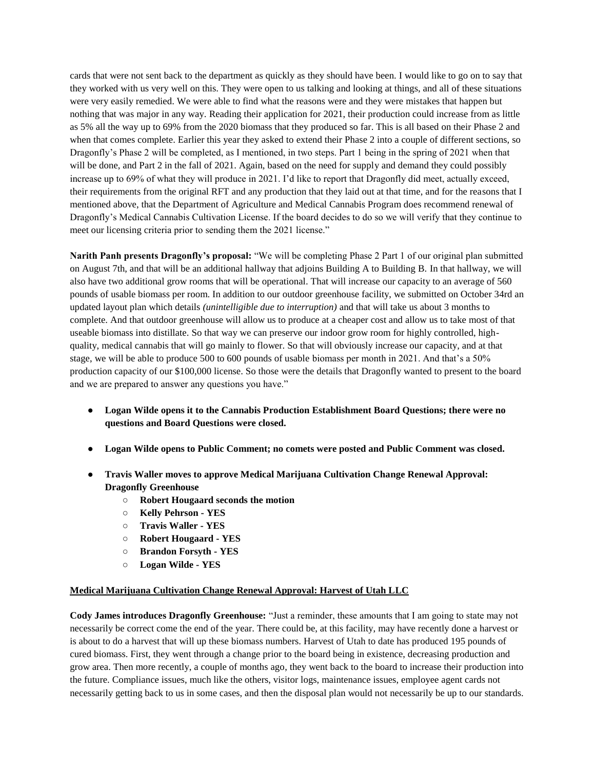cards that were not sent back to the department as quickly as they should have been. I would like to go on to say that they worked with us very well on this. They were open to us talking and looking at things, and all of these situations were very easily remedied. We were able to find what the reasons were and they were mistakes that happen but nothing that was major in any way. Reading their application for 2021, their production could increase from as little as 5% all the way up to 69% from the 2020 biomass that they produced so far. This is all based on their Phase 2 and when that comes complete. Earlier this year they asked to extend their Phase 2 into a couple of different sections, so Dragonfly's Phase 2 will be completed, as I mentioned, in two steps. Part 1 being in the spring of 2021 when that will be done, and Part 2 in the fall of 2021. Again, based on the need for supply and demand they could possibly increase up to 69% of what they will produce in 2021. I'd like to report that Dragonfly did meet, actually exceed, their requirements from the original RFT and any production that they laid out at that time, and for the reasons that I mentioned above, that the Department of Agriculture and Medical Cannabis Program does recommend renewal of Dragonfly's Medical Cannabis Cultivation License. If the board decides to do so we will verify that they continue to meet our licensing criteria prior to sending them the 2021 license."

**Narith Panh presents Dragonfly's proposal:** "We will be completing Phase 2 Part 1 of our original plan submitted on August 7th, and that will be an additional hallway that adjoins Building A to Building B. In that hallway, we will also have two additional grow rooms that will be operational. That will increase our capacity to an average of 560 pounds of usable biomass per room. In addition to our outdoor greenhouse facility, we submitted on October 34rd an updated layout plan which details *(unintelligible due to interruption)* and that will take us about 3 months to complete. And that outdoor greenhouse will allow us to produce at a cheaper cost and allow us to take most of that useable biomass into distillate. So that way we can preserve our indoor grow room for highly controlled, highquality, medical cannabis that will go mainly to flower. So that will obviously increase our capacity, and at that stage, we will be able to produce 500 to 600 pounds of usable biomass per month in 2021. And that's a 50% production capacity of our \$100,000 license. So those were the details that Dragonfly wanted to present to the board and we are prepared to answer any questions you have."

- **Logan Wilde opens it to the Cannabis Production Establishment Board Questions; there were no questions and Board Questions were closed.**
- **Logan Wilde opens to Public Comment; no comets were posted and Public Comment was closed.**
- **Travis Waller moves to approve Medical Marijuana Cultivation Change Renewal Approval: Dragonfly Greenhouse**
	- **Robert Hougaard seconds the motion**
	- **Kelly Pehrson - YES**
	- **Travis Waller - YES**
	- **Robert Hougaard - YES**
	- **Brandon Forsyth - YES**
	- **Logan Wilde - YES**

#### **Medical Marijuana Cultivation Change Renewal Approval: Harvest of Utah LLC**

**Cody James introduces Dragonfly Greenhouse:** "Just a reminder, these amounts that I am going to state may not necessarily be correct come the end of the year. There could be, at this facility, may have recently done a harvest or is about to do a harvest that will up these biomass numbers. Harvest of Utah to date has produced 195 pounds of cured biomass. First, they went through a change prior to the board being in existence, decreasing production and grow area. Then more recently, a couple of months ago, they went back to the board to increase their production into the future. Compliance issues, much like the others, visitor logs, maintenance issues, employee agent cards not necessarily getting back to us in some cases, and then the disposal plan would not necessarily be up to our standards.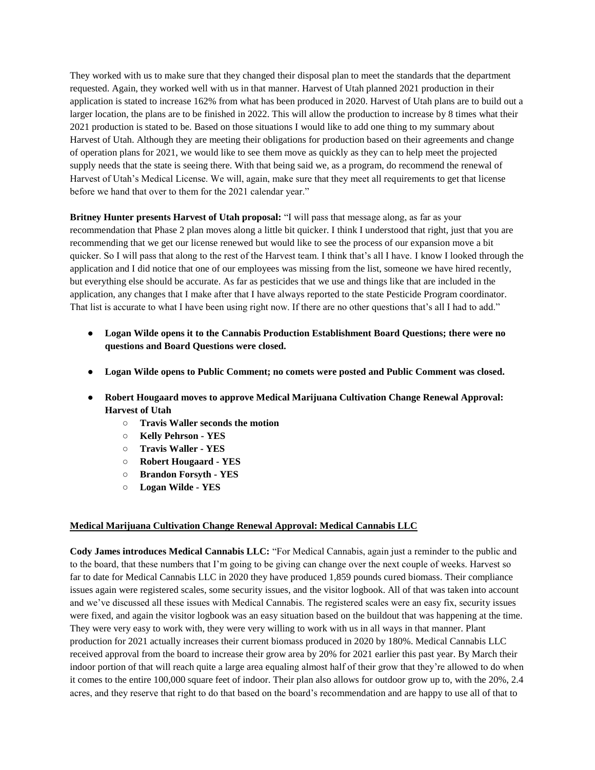They worked with us to make sure that they changed their disposal plan to meet the standards that the department requested. Again, they worked well with us in that manner. Harvest of Utah planned 2021 production in their application is stated to increase 162% from what has been produced in 2020. Harvest of Utah plans are to build out a larger location, the plans are to be finished in 2022. This will allow the production to increase by 8 times what their 2021 production is stated to be. Based on those situations I would like to add one thing to my summary about Harvest of Utah. Although they are meeting their obligations for production based on their agreements and change of operation plans for 2021, we would like to see them move as quickly as they can to help meet the projected supply needs that the state is seeing there. With that being said we, as a program, do recommend the renewal of Harvest of Utah's Medical License. We will, again, make sure that they meet all requirements to get that license before we hand that over to them for the 2021 calendar year."

**Britney Hunter presents Harvest of Utah proposal:** "I will pass that message along, as far as your recommendation that Phase 2 plan moves along a little bit quicker. I think I understood that right, just that you are recommending that we get our license renewed but would like to see the process of our expansion move a bit quicker. So I will pass that along to the rest of the Harvest team. I think that's all I have. I know I looked through the application and I did notice that one of our employees was missing from the list, someone we have hired recently, but everything else should be accurate. As far as pesticides that we use and things like that are included in the application, any changes that I make after that I have always reported to the state Pesticide Program coordinator. That list is accurate to what I have been using right now. If there are no other questions that's all I had to add."

- **Logan Wilde opens it to the Cannabis Production Establishment Board Questions; there were no questions and Board Questions were closed.**
- **Logan Wilde opens to Public Comment; no comets were posted and Public Comment was closed.**
- **Robert Hougaard moves to approve Medical Marijuana Cultivation Change Renewal Approval: Harvest of Utah**
	- **Travis Waller seconds the motion**
	- **Kelly Pehrson - YES**
	- **Travis Waller - YES**
	- **Robert Hougaard - YES**
	- **Brandon Forsyth - YES**
	- **Logan Wilde - YES**

#### **Medical Marijuana Cultivation Change Renewal Approval: Medical Cannabis LLC**

**Cody James introduces Medical Cannabis LLC:** "For Medical Cannabis, again just a reminder to the public and to the board, that these numbers that I'm going to be giving can change over the next couple of weeks. Harvest so far to date for Medical Cannabis LLC in 2020 they have produced 1,859 pounds cured biomass. Their compliance issues again were registered scales, some security issues, and the visitor logbook. All of that was taken into account and we've discussed all these issues with Medical Cannabis. The registered scales were an easy fix, security issues were fixed, and again the visitor logbook was an easy situation based on the buildout that was happening at the time. They were very easy to work with, they were very willing to work with us in all ways in that manner. Plant production for 2021 actually increases their current biomass produced in 2020 by 180%. Medical Cannabis LLC received approval from the board to increase their grow area by 20% for 2021 earlier this past year. By March their indoor portion of that will reach quite a large area equaling almost half of their grow that they're allowed to do when it comes to the entire 100,000 square feet of indoor. Their plan also allows for outdoor grow up to, with the 20%, 2.4 acres, and they reserve that right to do that based on the board's recommendation and are happy to use all of that to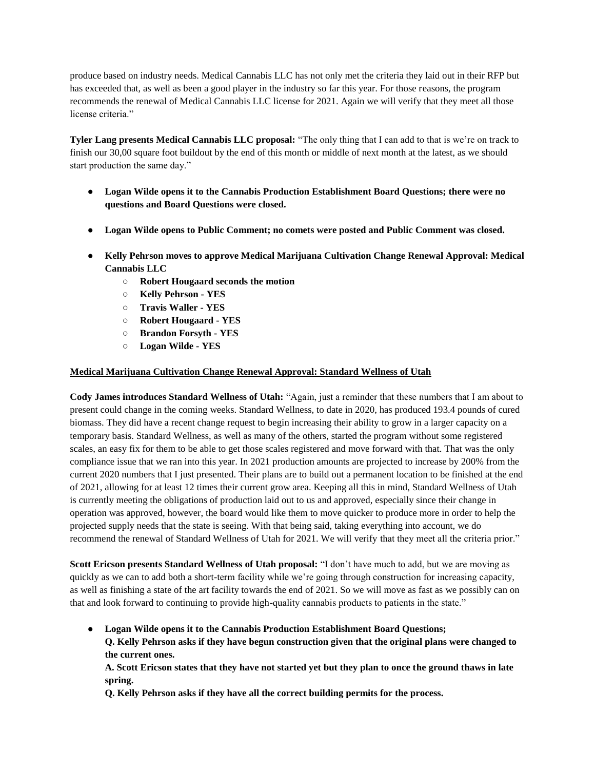produce based on industry needs. Medical Cannabis LLC has not only met the criteria they laid out in their RFP but has exceeded that, as well as been a good player in the industry so far this year. For those reasons, the program recommends the renewal of Medical Cannabis LLC license for 2021. Again we will verify that they meet all those license criteria."

**Tyler Lang presents Medical Cannabis LLC proposal:** "The only thing that I can add to that is we're on track to finish our 30,00 square foot buildout by the end of this month or middle of next month at the latest, as we should start production the same day."

- **Logan Wilde opens it to the Cannabis Production Establishment Board Questions; there were no questions and Board Questions were closed.**
- **Logan Wilde opens to Public Comment; no comets were posted and Public Comment was closed.**
- **Kelly Pehrson moves to approve Medical Marijuana Cultivation Change Renewal Approval: Medical Cannabis LLC** 
	- **Robert Hougaard seconds the motion**
	- **Kelly Pehrson - YES**
	- **Travis Waller - YES**
	- **Robert Hougaard - YES**
	- **Brandon Forsyth - YES**
	- **Logan Wilde - YES**

#### **Medical Marijuana Cultivation Change Renewal Approval: Standard Wellness of Utah**

**Cody James introduces Standard Wellness of Utah:** "Again, just a reminder that these numbers that I am about to present could change in the coming weeks. Standard Wellness, to date in 2020, has produced 193.4 pounds of cured biomass. They did have a recent change request to begin increasing their ability to grow in a larger capacity on a temporary basis. Standard Wellness, as well as many of the others, started the program without some registered scales, an easy fix for them to be able to get those scales registered and move forward with that. That was the only compliance issue that we ran into this year. In 2021 production amounts are projected to increase by 200% from the current 2020 numbers that I just presented. Their plans are to build out a permanent location to be finished at the end of 2021, allowing for at least 12 times their current grow area. Keeping all this in mind, Standard Wellness of Utah is currently meeting the obligations of production laid out to us and approved, especially since their change in operation was approved, however, the board would like them to move quicker to produce more in order to help the projected supply needs that the state is seeing. With that being said, taking everything into account, we do recommend the renewal of Standard Wellness of Utah for 2021. We will verify that they meet all the criteria prior."

**Scott Ericson presents Standard Wellness of Utah proposal:** "I don't have much to add, but we are moving as quickly as we can to add both a short-term facility while we're going through construction for increasing capacity, as well as finishing a state of the art facility towards the end of 2021. So we will move as fast as we possibly can on that and look forward to continuing to provide high-quality cannabis products to patients in the state."

● **Logan Wilde opens it to the Cannabis Production Establishment Board Questions; Q. Kelly Pehrson asks if they have begun construction given that the original plans were changed to the current ones.** 

**A. Scott Ericson states that they have not started yet but they plan to once the ground thaws in late spring.** 

**Q. Kelly Pehrson asks if they have all the correct building permits for the process.**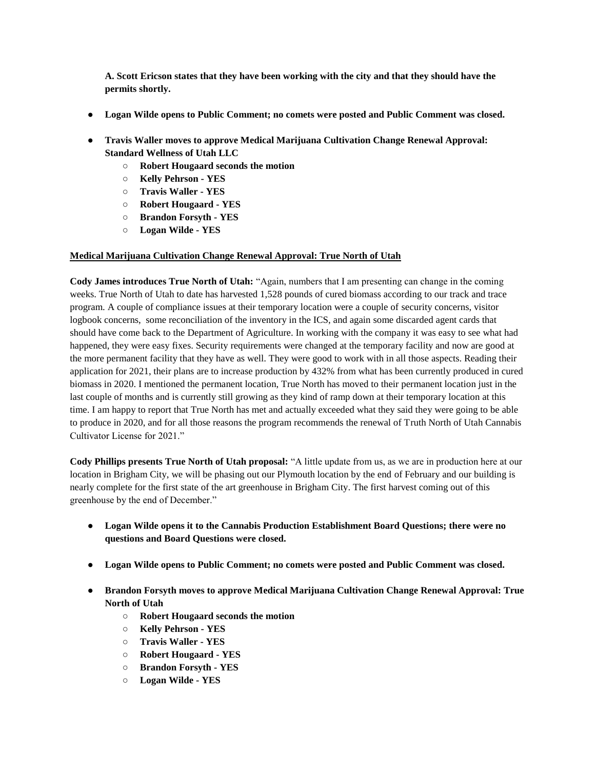**A. Scott Ericson states that they have been working with the city and that they should have the permits shortly.** 

- **Logan Wilde opens to Public Comment; no comets were posted and Public Comment was closed.**
- **Travis Waller moves to approve Medical Marijuana Cultivation Change Renewal Approval: Standard Wellness of Utah LLC**
	- **Robert Hougaard seconds the motion**
	- **Kelly Pehrson - YES**
	- **Travis Waller - YES**
	- **Robert Hougaard - YES**
	- **Brandon Forsyth - YES**
	- **Logan Wilde - YES**

#### **Medical Marijuana Cultivation Change Renewal Approval: True North of Utah**

**Cody James introduces True North of Utah:** "Again, numbers that I am presenting can change in the coming weeks. True North of Utah to date has harvested 1,528 pounds of cured biomass according to our track and trace program. A couple of compliance issues at their temporary location were a couple of security concerns, visitor logbook concerns, some reconciliation of the inventory in the ICS, and again some discarded agent cards that should have come back to the Department of Agriculture. In working with the company it was easy to see what had happened, they were easy fixes. Security requirements were changed at the temporary facility and now are good at the more permanent facility that they have as well. They were good to work with in all those aspects. Reading their application for 2021, their plans are to increase production by 432% from what has been currently produced in cured biomass in 2020. I mentioned the permanent location, True North has moved to their permanent location just in the last couple of months and is currently still growing as they kind of ramp down at their temporary location at this time. I am happy to report that True North has met and actually exceeded what they said they were going to be able to produce in 2020, and for all those reasons the program recommends the renewal of Truth North of Utah Cannabis Cultivator License for 2021."

**Cody Phillips presents True North of Utah proposal:** "A little update from us, as we are in production here at our location in Brigham City, we will be phasing out our Plymouth location by the end of February and our building is nearly complete for the first state of the art greenhouse in Brigham City. The first harvest coming out of this greenhouse by the end of December."

- **Logan Wilde opens it to the Cannabis Production Establishment Board Questions; there were no questions and Board Questions were closed.**
- **Logan Wilde opens to Public Comment; no comets were posted and Public Comment was closed.**
- **Brandon Forsyth moves to approve Medical Marijuana Cultivation Change Renewal Approval: True North of Utah**
	- **Robert Hougaard seconds the motion**
	- **Kelly Pehrson - YES**
	- **Travis Waller - YES**
	- **Robert Hougaard - YES**
	- **Brandon Forsyth - YES**
	- **Logan Wilde - YES**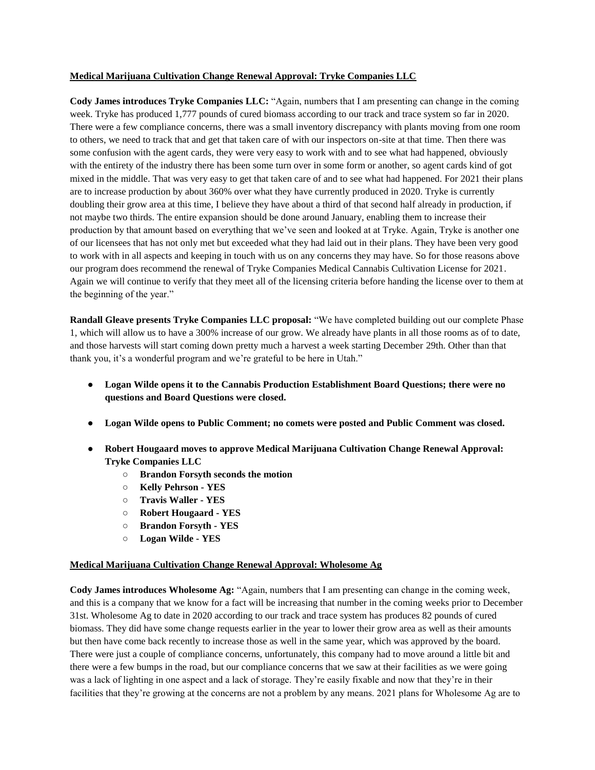#### **Medical Marijuana Cultivation Change Renewal Approval: Tryke Companies LLC**

**Cody James introduces Tryke Companies LLC:** "Again, numbers that I am presenting can change in the coming week. Tryke has produced 1,777 pounds of cured biomass according to our track and trace system so far in 2020. There were a few compliance concerns, there was a small inventory discrepancy with plants moving from one room to others, we need to track that and get that taken care of with our inspectors on-site at that time. Then there was some confusion with the agent cards, they were very easy to work with and to see what had happened, obviously with the entirety of the industry there has been some turn over in some form or another, so agent cards kind of got mixed in the middle. That was very easy to get that taken care of and to see what had happened. For 2021 their plans are to increase production by about 360% over what they have currently produced in 2020. Tryke is currently doubling their grow area at this time, I believe they have about a third of that second half already in production, if not maybe two thirds. The entire expansion should be done around January, enabling them to increase their production by that amount based on everything that we've seen and looked at at Tryke. Again, Tryke is another one of our licensees that has not only met but exceeded what they had laid out in their plans. They have been very good to work with in all aspects and keeping in touch with us on any concerns they may have. So for those reasons above our program does recommend the renewal of Tryke Companies Medical Cannabis Cultivation License for 2021. Again we will continue to verify that they meet all of the licensing criteria before handing the license over to them at the beginning of the year."

**Randall Gleave presents Tryke Companies LLC proposal:** "We have completed building out our complete Phase 1, which will allow us to have a 300% increase of our grow. We already have plants in all those rooms as of to date, and those harvests will start coming down pretty much a harvest a week starting December 29th. Other than that thank you, it's a wonderful program and we're grateful to be here in Utah."

- **Logan Wilde opens it to the Cannabis Production Establishment Board Questions; there were no questions and Board Questions were closed.**
- **Logan Wilde opens to Public Comment; no comets were posted and Public Comment was closed.**
- **Robert Hougaard moves to approve Medical Marijuana Cultivation Change Renewal Approval: Tryke Companies LLC**
	- **Brandon Forsyth seconds the motion**
	- **Kelly Pehrson - YES**
	- **Travis Waller - YES**
	- **Robert Hougaard - YES**
	- **Brandon Forsyth - YES**
	- **Logan Wilde - YES**

#### **Medical Marijuana Cultivation Change Renewal Approval: Wholesome Ag**

**Cody James introduces Wholesome Ag:** "Again, numbers that I am presenting can change in the coming week, and this is a company that we know for a fact will be increasing that number in the coming weeks prior to December 31st. Wholesome Ag to date in 2020 according to our track and trace system has produces 82 pounds of cured biomass. They did have some change requests earlier in the year to lower their grow area as well as their amounts but then have come back recently to increase those as well in the same year, which was approved by the board. There were just a couple of compliance concerns, unfortunately, this company had to move around a little bit and there were a few bumps in the road, but our compliance concerns that we saw at their facilities as we were going was a lack of lighting in one aspect and a lack of storage. They're easily fixable and now that they're in their facilities that they're growing at the concerns are not a problem by any means. 2021 plans for Wholesome Ag are to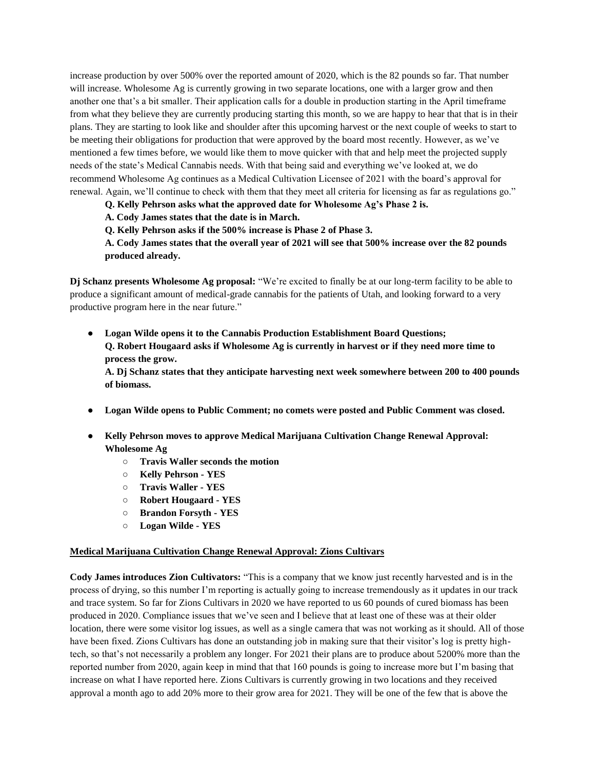increase production by over 500% over the reported amount of 2020, which is the 82 pounds so far. That number will increase. Wholesome Ag is currently growing in two separate locations, one with a larger grow and then another one that's a bit smaller. Their application calls for a double in production starting in the April timeframe from what they believe they are currently producing starting this month, so we are happy to hear that that is in their plans. They are starting to look like and shoulder after this upcoming harvest or the next couple of weeks to start to be meeting their obligations for production that were approved by the board most recently. However, as we've mentioned a few times before, we would like them to move quicker with that and help meet the projected supply needs of the state's Medical Cannabis needs. With that being said and everything we've looked at, we do recommend Wholesome Ag continues as a Medical Cultivation Licensee of 2021 with the board's approval for renewal. Again, we'll continue to check with them that they meet all criteria for licensing as far as regulations go."

**Q. Kelly Pehrson asks what the approved date for Wholesome Ag's Phase 2 is.**

**A. Cody James states that the date is in March.**

**Q. Kelly Pehrson asks if the 500% increase is Phase 2 of Phase 3.**

**A. Cody James states that the overall year of 2021 will see that 500% increase over the 82 pounds produced already.**

**Dj Schanz presents Wholesome Ag proposal:** "We're excited to finally be at our long-term facility to be able to produce a significant amount of medical-grade cannabis for the patients of Utah, and looking forward to a very productive program here in the near future."

● **Logan Wilde opens it to the Cannabis Production Establishment Board Questions; Q. Robert Hougaard asks if Wholesome Ag is currently in harvest or if they need more time to process the grow.** 

**A. Dj Schanz states that they anticipate harvesting next week somewhere between 200 to 400 pounds of biomass.** 

- **Logan Wilde opens to Public Comment; no comets were posted and Public Comment was closed.**
- **Kelly Pehrson moves to approve Medical Marijuana Cultivation Change Renewal Approval: Wholesome Ag**
	- **Travis Waller seconds the motion**
	- **Kelly Pehrson - YES**
	- **Travis Waller - YES**
	- **Robert Hougaard - YES**
	- **Brandon Forsyth - YES**
	- **Logan Wilde - YES**

#### **Medical Marijuana Cultivation Change Renewal Approval: Zions Cultivars**

**Cody James introduces Zion Cultivators:** "This is a company that we know just recently harvested and is in the process of drying, so this number I'm reporting is actually going to increase tremendously as it updates in our track and trace system. So far for Zions Cultivars in 2020 we have reported to us 60 pounds of cured biomass has been produced in 2020. Compliance issues that we've seen and I believe that at least one of these was at their older location, there were some visitor log issues, as well as a single camera that was not working as it should. All of those have been fixed. Zions Cultivars has done an outstanding job in making sure that their visitor's log is pretty hightech, so that's not necessarily a problem any longer. For 2021 their plans are to produce about 5200% more than the reported number from 2020, again keep in mind that that 160 pounds is going to increase more but I'm basing that increase on what I have reported here. Zions Cultivars is currently growing in two locations and they received approval a month ago to add 20% more to their grow area for 2021. They will be one of the few that is above the